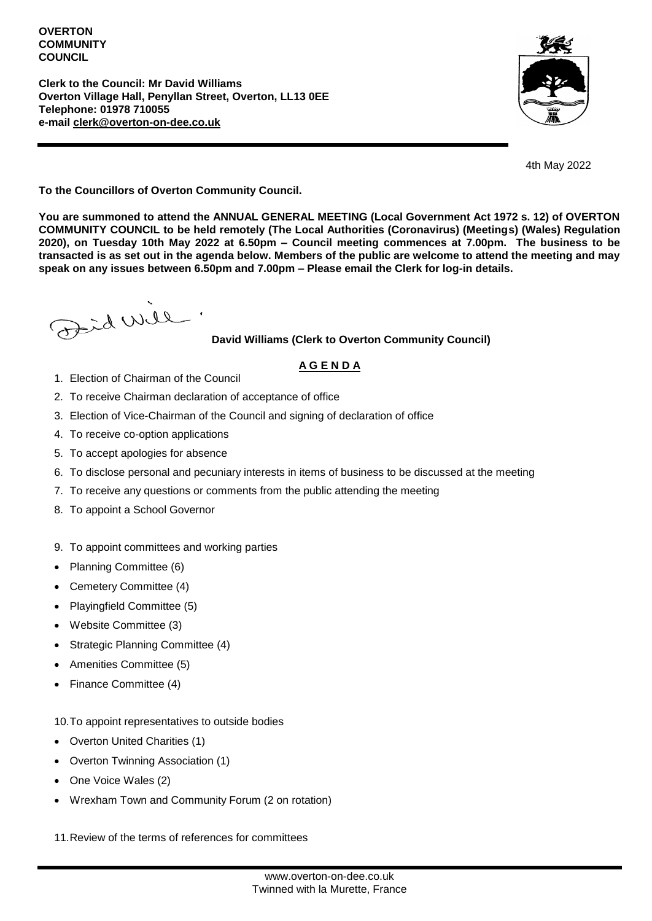#### **OVERTON COMMUNITY COUNCIL**

**Clerk to the Council: Mr David Williams Overton Village Hall, Penyllan Street, Overton, LL13 0EE Telephone: 01978 710055 e-mail [clerk@overton-on-dee.co.uk](mailto:clerk@overton-on-dee.co.uk)**



4th May 2022

**To the Councillors of Overton Community Council.**

**You are summoned to attend the ANNUAL GENERAL MEETING (Local Government Act 1972 s. 12) of OVERTON COMMUNITY COUNCIL to be held remotely (The Local Authorities (Coronavirus) (Meetings) (Wales) Regulation 2020), on Tuesday 10th May 2022 at 6.50pm – Council meeting commences at 7.00pm. The business to be transacted is as set out in the agenda below. Members of the public are welcome to attend the meeting and may speak on any issues between 6.50pm and 7.00pm – Please email the Clerk for log-in details.**

al will

## **David Williams (Clerk to Overton Community Council)**

# **A G E N D A**

- 1. Election of Chairman of the Council
- 2. To receive Chairman declaration of acceptance of office
- 3. Election of Vice-Chairman of the Council and signing of declaration of office
- 4. To receive co-option applications
- 5. To accept apologies for absence
- 6. To disclose personal and pecuniary interests in items of business to be discussed at the meeting
- 7. To receive any questions or comments from the public attending the meeting
- 8. To appoint a School Governor
- 9. To appoint committees and working parties
- Planning Committee (6)
- Cemetery Committee (4)
- Playingfield Committee (5)
- Website Committee (3)
- Strategic Planning Committee (4)
- Amenities Committee (5)
- Finance Committee (4)

10.To appoint representatives to outside bodies

- Overton United Charities (1)
- Overton Twinning Association (1)
- One Voice Wales (2)
- Wrexham Town and Community Forum (2 on rotation)

11.Review of the terms of references for committees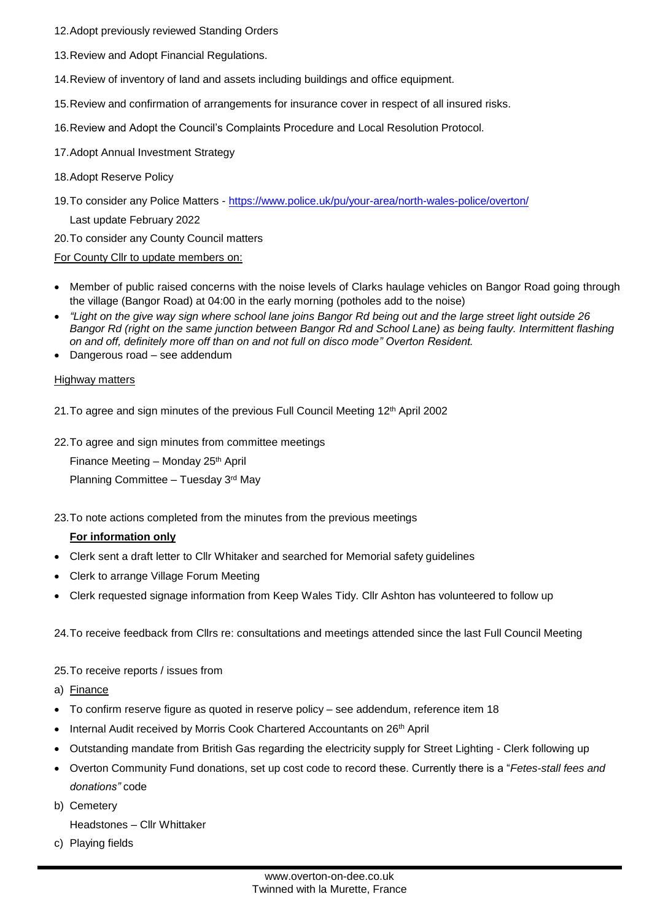- 12.Adopt previously reviewed Standing Orders
- 13.Review and Adopt Financial Regulations.
- 14.Review of inventory of land and assets including buildings and office equipment.
- 15.Review and confirmation of arrangements for insurance cover in respect of all insured risks.
- 16.Review and Adopt the Council's Complaints Procedure and Local Resolution Protocol.
- 17.Adopt Annual Investment Strategy
- 18.Adopt Reserve Policy
- 19.To consider any Police Matters <https://www.police.uk/pu/your-area/north-wales-police/overton/> Last update February 2022
- 20.To consider any County Council matters

For County Cllr to update members on:

- Member of public raised concerns with the noise levels of Clarks haulage vehicles on Bangor Road going through the village (Bangor Road) at 04:00 in the early morning (potholes add to the noise)
- *"Light on the give way sign where school lane joins Bangor Rd being out and the large street light outside 26 Bangor Rd (right on the same junction between Bangor Rd and School Lane) as being faulty. Intermittent flashing on and off, definitely more off than on and not full on disco mode" Overton Resident.*
- Dangerous road see addendum

#### Highway matters

- 21. To agree and sign minutes of the previous Full Council Meeting 12<sup>th</sup> April 2002
- 22.To agree and sign minutes from committee meetings

Finance Meeting - Monday 25<sup>th</sup> April Planning Committee – Tuesday 3rd May

23.To note actions completed from the minutes from the previous meetings

#### **For information only**

- Clerk sent a draft letter to Cllr Whitaker and searched for Memorial safety guidelines
- Clerk to arrange Village Forum Meeting
- Clerk requested signage information from Keep Wales Tidy. Cllr Ashton has volunteered to follow up

24.To receive feedback from Cllrs re: consultations and meetings attended since the last Full Council Meeting

- 25.To receive reports / issues from
- a) Finance
- To confirm reserve figure as quoted in reserve policy see addendum, reference item 18
- Internal Audit received by Morris Cook Chartered Accountants on 26<sup>th</sup> April
- Outstanding mandate from British Gas regarding the electricity supply for Street Lighting Clerk following up
- Overton Community Fund donations, set up cost code to record these. Currently there is a "*Fetes-stall fees and donations"* code
- b) Cemetery
	- Headstones Cllr Whittaker
- c) Playing fields